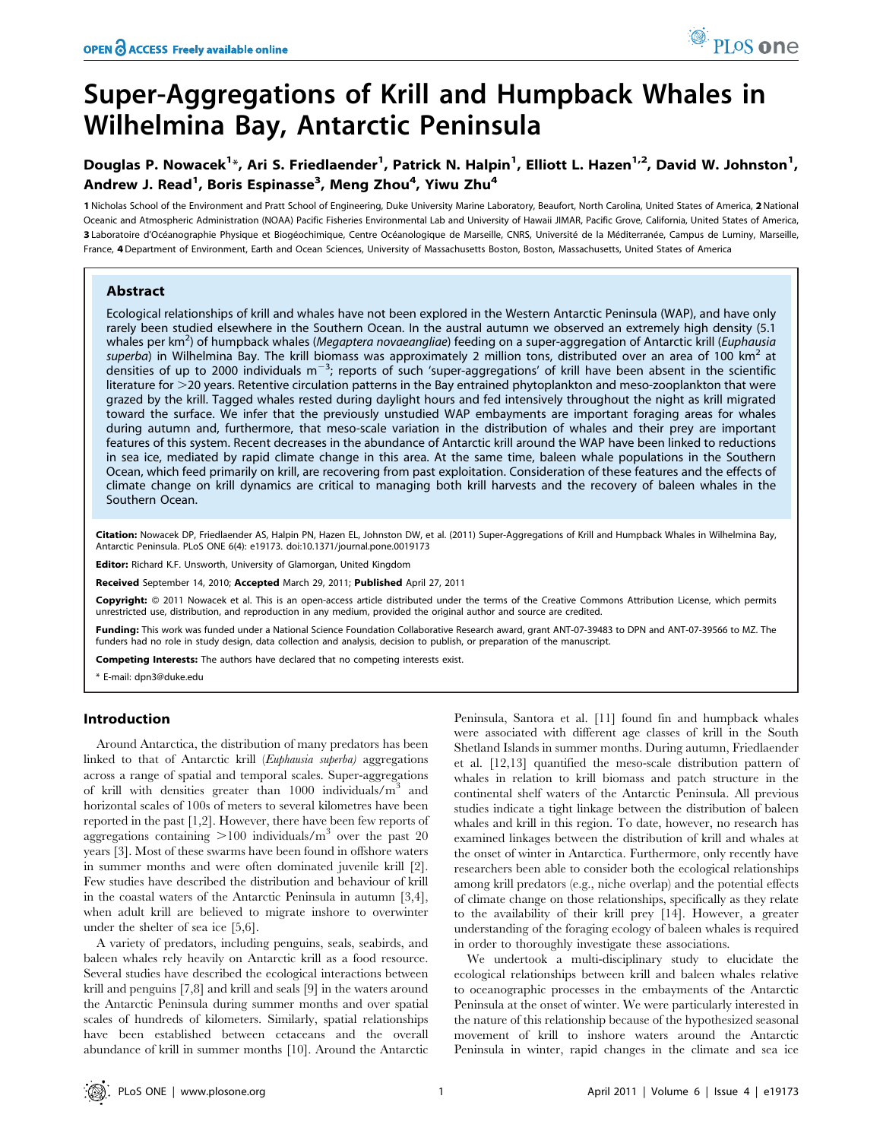# Super-Aggregations of Krill and Humpback Whales in Wilhelmina Bay, Antarctic Peninsula

Douglas P. Nowacek<sup>1</sup>\*, Ari S. Friedlaender<sup>1</sup>, Patrick N. Halpin<sup>1</sup>, Elliott L. Hazen<sup>1,2</sup>, David W. Johnston<sup>1</sup>, Andrew J. Read<sup>1</sup>, Boris Espinasse<sup>3</sup>, Meng Zhou<sup>4</sup>, Yiwu Zhu<sup>4</sup>

1 Nicholas School of the Environment and Pratt School of Engineering, Duke University Marine Laboratory, Beaufort, North Carolina, United States of America, 2 National Oceanic and Atmospheric Administration (NOAA) Pacific Fisheries Environmental Lab and University of Hawaii JIMAR, Pacific Grove, California, United States of America, 3 Laboratoire d'Océanographie Physique et Biogéochimique, Centre Océanologique de Marseille, CNRS, Université de la Méditerranée, Campus de Luminy, Marseille, France, 4 Department of Environment, Earth and Ocean Sciences, University of Massachusetts Boston, Boston, Massachusetts, United States of America

# Abstract

Ecological relationships of krill and whales have not been explored in the Western Antarctic Peninsula (WAP), and have only rarely been studied elsewhere in the Southern Ocean. In the austral autumn we observed an extremely high density (5.1 whales per km<sup>2</sup>) of humpback whales (*Megaptera novaeangliae*) feeding on a super-aggregation of Antarctic krill (*Euphausia* superba) in Wilhelmina Bay. The krill biomass was approximately 2 million tons, distributed over an area of 100 km<sup>2</sup> at densities of up to 2000 individuals m<sup>-3</sup>; reports of such 'super-aggregations' of krill have been absent in the scientific literature for >20 years. Retentive circulation patterns in the Bay entrained phytoplankton and meso-zooplankton that were grazed by the krill. Tagged whales rested during daylight hours and fed intensively throughout the night as krill migrated toward the surface. We infer that the previously unstudied WAP embayments are important foraging areas for whales during autumn and, furthermore, that meso-scale variation in the distribution of whales and their prey are important features of this system. Recent decreases in the abundance of Antarctic krill around the WAP have been linked to reductions in sea ice, mediated by rapid climate change in this area. At the same time, baleen whale populations in the Southern Ocean, which feed primarily on krill, are recovering from past exploitation. Consideration of these features and the effects of climate change on krill dynamics are critical to managing both krill harvests and the recovery of baleen whales in the Southern Ocean.

Citation: Nowacek DP, Friedlaender AS, Halpin PN, Hazen EL, Johnston DW, et al. (2011) Super-Aggregations of Krill and Humpback Whales in Wilhelmina Bay, Antarctic Peninsula. PLoS ONE 6(4): e19173. doi:10.1371/journal.pone.0019173

Editor: Richard K.F. Unsworth, University of Glamorgan, United Kingdom

Received September 14, 2010; Accepted March 29, 2011; Published April 27, 2011

**Copyright:** © 2011 Nowacek et al. This is an open-access article distributed under the terms of the Creative Commons Attribution License, which permits unrestricted use, distribution, and reproduction in any medium, provided the original author and source are credited.

Funding: This work was funded under a National Science Foundation Collaborative Research award, grant ANT-07-39483 to DPN and ANT-07-39566 to MZ. The funders had no role in study design, data collection and analysis, decision to publish, or preparation of the manuscript.

Competing Interests: The authors have declared that no competing interests exist.

\* E-mail: dpn3@duke.edu

# Introduction

Around Antarctica, the distribution of many predators has been linked to that of Antarctic krill (Euphausia superba) aggregations across a range of spatial and temporal scales. Super-aggregations of krill with densities greater than  $1000$  individuals/ $m<sup>3</sup>$  and horizontal scales of 100s of meters to several kilometres have been reported in the past [1,2]. However, there have been few reports of aggregations containing  $>100$  individuals/m<sup>3</sup> over the past 20 years [3]. Most of these swarms have been found in offshore waters in summer months and were often dominated juvenile krill [2]. Few studies have described the distribution and behaviour of krill in the coastal waters of the Antarctic Peninsula in autumn [3,4], when adult krill are believed to migrate inshore to overwinter under the shelter of sea ice [5,6].

A variety of predators, including penguins, seals, seabirds, and baleen whales rely heavily on Antarctic krill as a food resource. Several studies have described the ecological interactions between krill and penguins [7,8] and krill and seals [9] in the waters around the Antarctic Peninsula during summer months and over spatial scales of hundreds of kilometers. Similarly, spatial relationships have been established between cetaceans and the overall abundance of krill in summer months [10]. Around the Antarctic Peninsula, Santora et al. [11] found fin and humpback whales were associated with different age classes of krill in the South Shetland Islands in summer months. During autumn, Friedlaender et al. [12,13] quantified the meso-scale distribution pattern of whales in relation to krill biomass and patch structure in the continental shelf waters of the Antarctic Peninsula. All previous studies indicate a tight linkage between the distribution of baleen whales and krill in this region. To date, however, no research has examined linkages between the distribution of krill and whales at the onset of winter in Antarctica. Furthermore, only recently have researchers been able to consider both the ecological relationships among krill predators (e.g., niche overlap) and the potential effects of climate change on those relationships, specifically as they relate to the availability of their krill prey [14]. However, a greater understanding of the foraging ecology of baleen whales is required in order to thoroughly investigate these associations.

We undertook a multi-disciplinary study to elucidate the ecological relationships between krill and baleen whales relative to oceanographic processes in the embayments of the Antarctic Peninsula at the onset of winter. We were particularly interested in the nature of this relationship because of the hypothesized seasonal movement of krill to inshore waters around the Antarctic Peninsula in winter, rapid changes in the climate and sea ice

PLoS one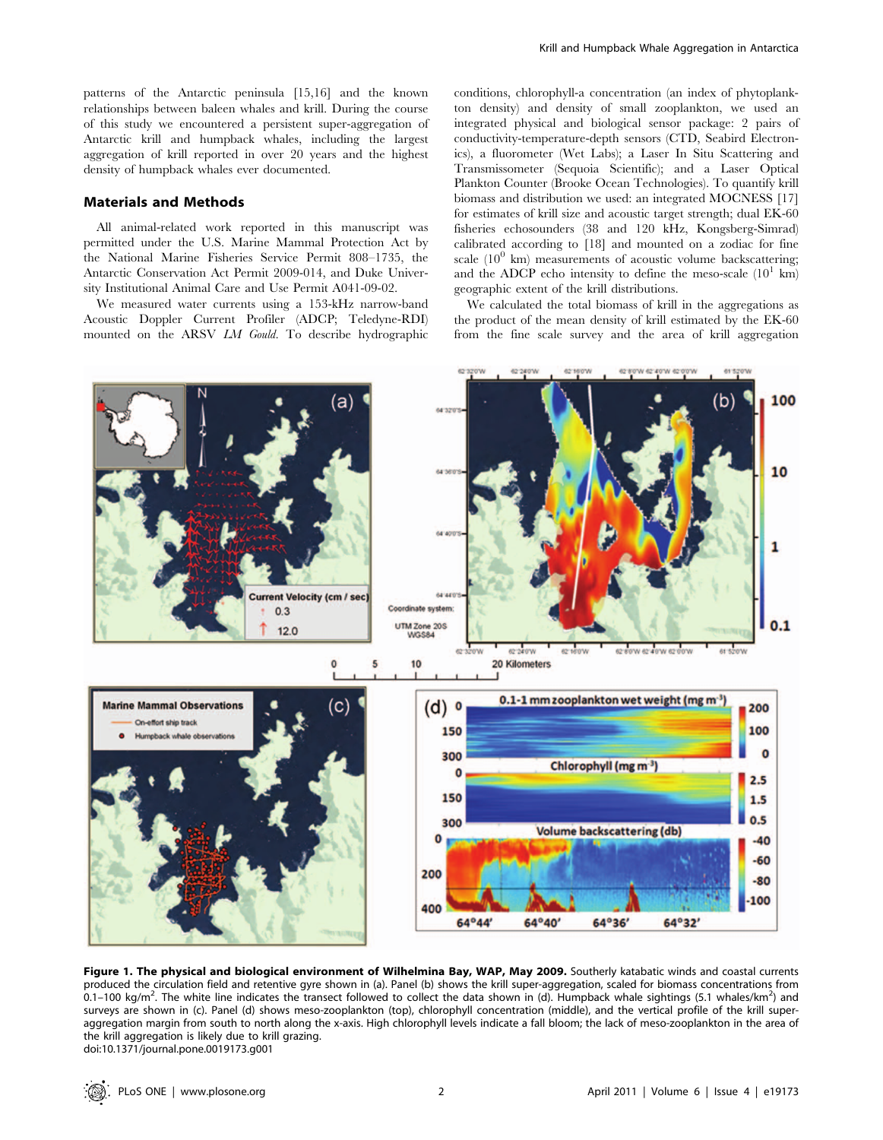patterns of the Antarctic peninsula [15,16] and the known relationships between baleen whales and krill. During the course of this study we encountered a persistent super-aggregation of Antarctic krill and humpback whales, including the largest aggregation of krill reported in over 20 years and the highest density of humpback whales ever documented.

#### Materials and Methods

All animal-related work reported in this manuscript was permitted under the U.S. Marine Mammal Protection Act by the National Marine Fisheries Service Permit 808–1735, the Antarctic Conservation Act Permit 2009-014, and Duke University Institutional Animal Care and Use Permit A041-09-02.

We measured water currents using a 153-kHz narrow-band Acoustic Doppler Current Profiler (ADCP; Teledyne-RDI) mounted on the ARSV LM Gould. To describe hydrographic conditions, chlorophyll-a concentration (an index of phytoplankton density) and density of small zooplankton, we used an integrated physical and biological sensor package: 2 pairs of conductivity-temperature-depth sensors (CTD, Seabird Electronics), a fluorometer (Wet Labs); a Laser In Situ Scattering and Transmissometer (Sequoia Scientific); and a Laser Optical Plankton Counter (Brooke Ocean Technologies). To quantify krill biomass and distribution we used: an integrated MOCNESS [17] for estimates of krill size and acoustic target strength; dual EK-60 fisheries echosounders (38 and 120 kHz, Kongsberg-Simrad) calibrated according to [18] and mounted on a zodiac for fine scale  $(10^0 \text{ km})$  measurements of acoustic volume backscattering: and the ADCP echo intensity to define the meso-scale  $(10^1 \text{ km})$ geographic extent of the krill distributions.

We calculated the total biomass of krill in the aggregations as the product of the mean density of krill estimated by the EK-60 from the fine scale survey and the area of krill aggregation



Figure 1. The physical and biological environment of Wilhelmina Bay, WAP, May 2009. Southerly katabatic winds and coastal currents produced the circulation field and retentive gyre shown in (a). Panel (b) shows the krill super-aggregation, scaled for biomass concentrations from 0.1–100 kg/m<sup>2</sup>. The white line indicates the transect followed to collect the data shown in (d). Humpback whale sightings (5.1 whales/km<sup>2</sup>) and surveys are shown in (c). Panel (d) shows meso-zooplankton (top), chlorophyll concentration (middle), and the vertical profile of the krill superaggregation margin from south to north along the x-axis. High chlorophyll levels indicate a fall bloom; the lack of meso-zooplankton in the area of the krill aggregation is likely due to krill grazing. doi:10.1371/journal.pone.0019173.g001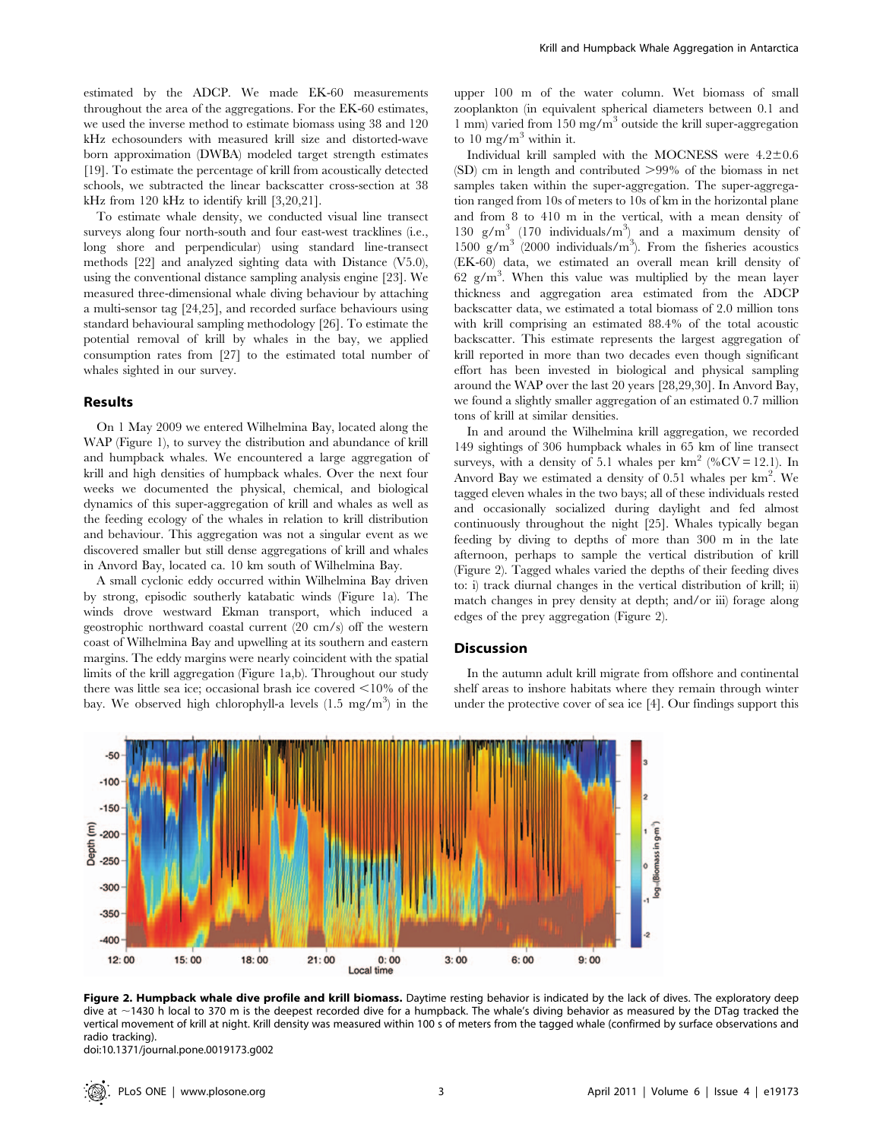estimated by the ADCP. We made EK-60 measurements throughout the area of the aggregations. For the EK-60 estimates, we used the inverse method to estimate biomass using 38 and 120 kHz echosounders with measured krill size and distorted-wave born approximation (DWBA) modeled target strength estimates [19]. To estimate the percentage of krill from acoustically detected schools, we subtracted the linear backscatter cross-section at 38 kHz from 120 kHz to identify krill [3,20,21].

To estimate whale density, we conducted visual line transect surveys along four north-south and four east-west tracklines (i.e., long shore and perpendicular) using standard line-transect methods [22] and analyzed sighting data with Distance (V5.0), using the conventional distance sampling analysis engine [23]. We measured three-dimensional whale diving behaviour by attaching a multi-sensor tag [24,25], and recorded surface behaviours using standard behavioural sampling methodology [26]. To estimate the potential removal of krill by whales in the bay, we applied consumption rates from [27] to the estimated total number of whales sighted in our survey.

### Results

On 1 May 2009 we entered Wilhelmina Bay, located along the WAP (Figure 1), to survey the distribution and abundance of krill and humpback whales. We encountered a large aggregation of krill and high densities of humpback whales. Over the next four weeks we documented the physical, chemical, and biological dynamics of this super-aggregation of krill and whales as well as the feeding ecology of the whales in relation to krill distribution and behaviour. This aggregation was not a singular event as we discovered smaller but still dense aggregations of krill and whales in Anvord Bay, located ca. 10 km south of Wilhelmina Bay.

A small cyclonic eddy occurred within Wilhelmina Bay driven by strong, episodic southerly katabatic winds (Figure 1a). The winds drove westward Ekman transport, which induced a geostrophic northward coastal current (20 cm/s) off the western coast of Wilhelmina Bay and upwelling at its southern and eastern margins. The eddy margins were nearly coincident with the spatial limits of the krill aggregation (Figure 1a,b). Throughout our study there was little sea ice; occasional brash ice covered  $\leq 10\%$  of the bay. We observed high chlorophyll-a levels  $(1.5 \text{ mg/m}^3)$  in the

upper 100 m of the water column. Wet biomass of small zooplankton (in equivalent spherical diameters between 0.1 and 1 mm) varied from 150 mg/m<sup>3</sup> outside the krill super-aggregation to  $10 \text{ mg/m}^3$  within it.

Individual krill sampled with the MOCNESS were  $4.2 \pm 0.6$  $(SD)$  cm in length and contributed  $>99\%$  of the biomass in net samples taken within the super-aggregation. The super-aggregation ranged from 10s of meters to 10s of km in the horizontal plane and from 8 to 410 m in the vertical, with a mean density of 130 g/m3 (170 individuals/m<sup>3</sup> ) and a maximum density of 1500  $g/m^3$  (2000 individuals/m<sup>3</sup>). From the fisheries acoustics (EK-60) data, we estimated an overall mean krill density of  $62 \text{ g/m}^3$ . When this value was multiplied by the mean layer thickness and aggregation area estimated from the ADCP backscatter data, we estimated a total biomass of 2.0 million tons with krill comprising an estimated 88.4% of the total acoustic backscatter. This estimate represents the largest aggregation of krill reported in more than two decades even though significant effort has been invested in biological and physical sampling around the WAP over the last 20 years [28,29,30]. In Anvord Bay, we found a slightly smaller aggregation of an estimated 0.7 million tons of krill at similar densities.

In and around the Wilhelmina krill aggregation, we recorded 149 sightings of 306 humpback whales in 65 km of line transect surveys, with a density of 5.1 whales per  $km^2$  (%CV = 12.1). In Anvord Bay we estimated a density of 0.51 whales per  $km^2$ . We tagged eleven whales in the two bays; all of these individuals rested and occasionally socialized during daylight and fed almost continuously throughout the night [25]. Whales typically began feeding by diving to depths of more than 300 m in the late afternoon, perhaps to sample the vertical distribution of krill (Figure 2). Tagged whales varied the depths of their feeding dives to: i) track diurnal changes in the vertical distribution of krill; ii) match changes in prey density at depth; and/or iii) forage along edges of the prey aggregation (Figure 2).

#### **Discussion**

In the autumn adult krill migrate from offshore and continental shelf areas to inshore habitats where they remain through winter under the protective cover of sea ice [4]. Our findings support this



Figure 2. Humpback whale dive profile and krill biomass. Daytime resting behavior is indicated by the lack of dives. The exploratory deep dive at ~1430 h local to 370 m is the deepest recorded dive for a humpback. The whale's diving behavior as measured by the DTag tracked the vertical movement of krill at night. Krill density was measured within 100 s of meters from the tagged whale (confirmed by surface observations and radio tracking).

doi:10.1371/journal.pone.0019173.g002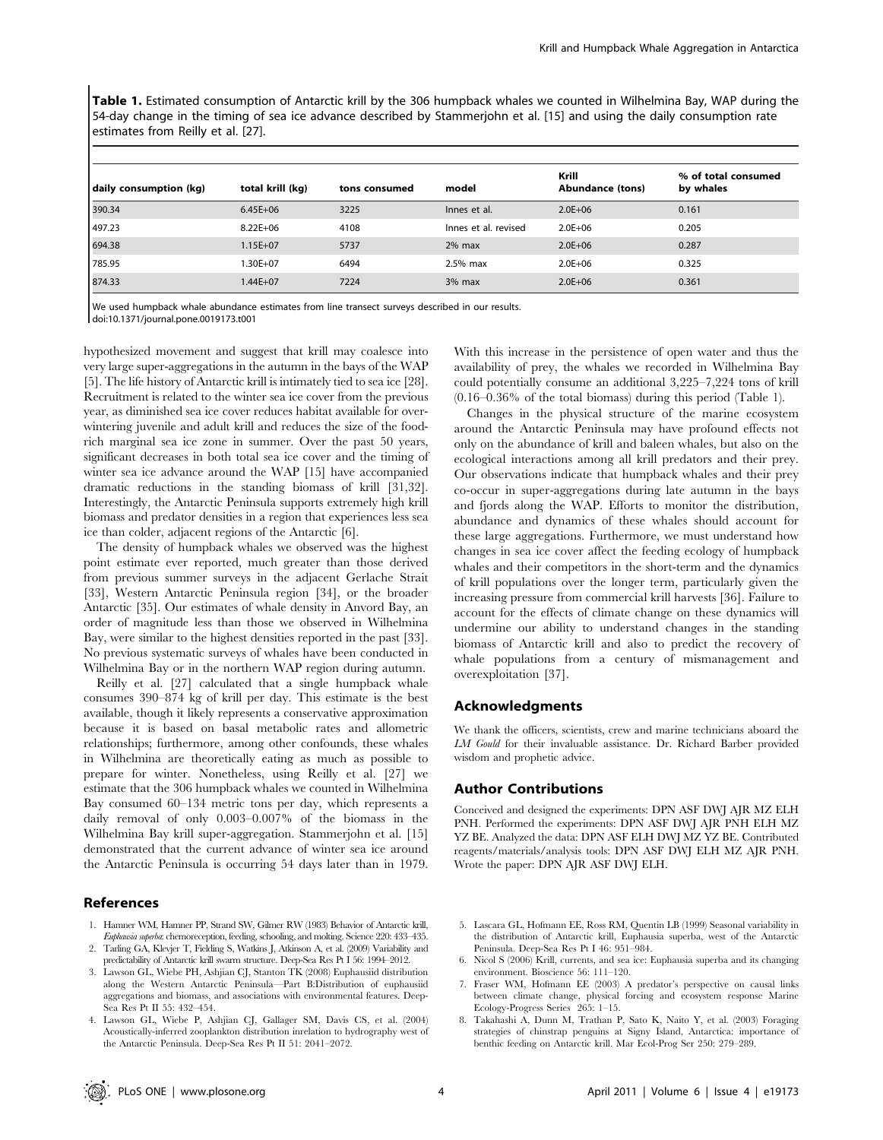Table 1. Estimated consumption of Antarctic krill by the 306 humpback whales we counted in Wilhelmina Bay, WAP during the 54-day change in the timing of sea ice advance described by Stammerjohn et al. [15] and using the daily consumption rate estimates from Reilly et al. [27].

| daily consumption (kg) | total krill (kg) | tons consumed | model                | Krill<br>Abundance (tons) | % of total consumed<br>by whales |
|------------------------|------------------|---------------|----------------------|---------------------------|----------------------------------|
| 390.34                 | $6.45E + 06$     | 3225          | Innes et al.         | $2.0E + 06$               | 0.161                            |
| 497.23                 | $8.22E + 06$     | 4108          | Innes et al. revised | $2.0E + 06$               | 0.205                            |
| 694.38                 | $1.15E + 07$     | 5737          | $2\%$ max            | $2.0E + 06$               | 0.287                            |
| 785.95                 | .30E+07          | 6494          | 2.5% max             | $2.0E + 06$               | 0.325                            |
| 874.33                 | $1.44E + 07$     | 7224          | $3%$ max             | $2.0E + 06$               | 0.361                            |

We used humpback whale abundance estimates from line transect surveys described in our results. doi:10.1371/journal.pone.0019173.t001

hypothesized movement and suggest that krill may coalesce into very large super-aggregations in the autumn in the bays of the WAP [5]. The life history of Antarctic krill is intimately tied to sea ice [28]. Recruitment is related to the winter sea ice cover from the previous year, as diminished sea ice cover reduces habitat available for overwintering juvenile and adult krill and reduces the size of the foodrich marginal sea ice zone in summer. Over the past 50 years, significant decreases in both total sea ice cover and the timing of winter sea ice advance around the WAP [15] have accompanied dramatic reductions in the standing biomass of krill [31,32]. Interestingly, the Antarctic Peninsula supports extremely high krill biomass and predator densities in a region that experiences less sea ice than colder, adjacent regions of the Antarctic [6].

The density of humpback whales we observed was the highest point estimate ever reported, much greater than those derived from previous summer surveys in the adjacent Gerlache Strait [33], Western Antarctic Peninsula region [34], or the broader Antarctic [35]. Our estimates of whale density in Anvord Bay, an order of magnitude less than those we observed in Wilhelmina Bay, were similar to the highest densities reported in the past [33]. No previous systematic surveys of whales have been conducted in Wilhelmina Bay or in the northern WAP region during autumn.

Reilly et al. [27] calculated that a single humpback whale consumes 390–874 kg of krill per day. This estimate is the best available, though it likely represents a conservative approximation because it is based on basal metabolic rates and allometric relationships; furthermore, among other confounds, these whales in Wilhelmina are theoretically eating as much as possible to prepare for winter. Nonetheless, using Reilly et al. [27] we estimate that the 306 humpback whales we counted in Wilhelmina Bay consumed 60–134 metric tons per day, which represents a daily removal of only 0.003–0.007% of the biomass in the Wilhelmina Bay krill super-aggregation. Stammerjohn et al. [15] demonstrated that the current advance of winter sea ice around the Antarctic Peninsula is occurring 54 days later than in 1979.

#### References

- 1. Hamner WM, Hamner PP, Strand SW, Gilmer RW (1983) Behavior of Antarctic krill, Euphausia superba: chemoreception, feeding, schooling, and molting. Science 220: 433–435.
- 2. Tarling GA, Klevjer T, Fielding S, Watkins J, Atkinson A, et al. (2009) Variability and predictability of Antarctic krill swarm structure. Deep-Sea Res Pt I 56: 1994–2012.
- 3. Lawson GL, Wiebe PH, Ashjian CJ, Stanton TK (2008) Euphausiid distribution along the Western Antarctic Peninsula—Part B:Distribution of euphausiid aggregations and biomass, and associations with environmental features. Deep-Sea Res Pt II 55: 432–454.
- 4. Lawson GL, Wiebe P, Ashjian CJ, Gallager SM, Davis CS, et al. (2004) Acoustically-inferred zooplankton distribution inrelation to hydrography west of the Antarctic Peninsula. Deep-Sea Res Pt II 51: 2041–2072.

With this increase in the persistence of open water and thus the availability of prey, the whales we recorded in Wilhelmina Bay could potentially consume an additional 3,225–7,224 tons of krill (0.16–0.36% of the total biomass) during this period (Table 1).

Changes in the physical structure of the marine ecosystem around the Antarctic Peninsula may have profound effects not only on the abundance of krill and baleen whales, but also on the ecological interactions among all krill predators and their prey. Our observations indicate that humpback whales and their prey co-occur in super-aggregations during late autumn in the bays and fjords along the WAP. Efforts to monitor the distribution, abundance and dynamics of these whales should account for these large aggregations. Furthermore, we must understand how changes in sea ice cover affect the feeding ecology of humpback whales and their competitors in the short-term and the dynamics of krill populations over the longer term, particularly given the increasing pressure from commercial krill harvests [36]. Failure to account for the effects of climate change on these dynamics will undermine our ability to understand changes in the standing biomass of Antarctic krill and also to predict the recovery of whale populations from a century of mismanagement and overexploitation [37].

## Acknowledgments

We thank the officers, scientists, crew and marine technicians aboard the LM Gould for their invaluable assistance. Dr. Richard Barber provided wisdom and prophetic advice.

#### Author Contributions

Conceived and designed the experiments: DPN ASF DWJ AJR MZ ELH PNH. Performed the experiments: DPN ASF DWJ AJR PNH ELH MZ YZ BE. Analyzed the data: DPN ASF ELH DWJ MZ YZ BE. Contributed reagents/materials/analysis tools: DPN ASF DWJ ELH MZ AJR PNH. Wrote the paper: DPN AJR ASF DWJ ELH.

- 5. Lascara GL, Hofmann EE, Ross RM, Quentin LB (1999) Seasonal variability in the distribution of Antarctic krill, Euphausia superba, west of the Antarctic Peninsula. Deep-Sea Res Pt I 46: 951–984.
- 6. Nicol S (2006) Krill, currents, and sea ice: Euphausia superba and its changing environment. Bioscience 56: 111–120.
- 7. Fraser WM, Hofmann EE (2003) A predator's perspective on causal links between climate change, physical forcing and ecosystem response Marine Ecology-Progress Series 265: 1–15.
- 8. Takahashi A, Dunn M, Trathan P, Sato K, Naito Y, et al. (2003) Foraging strategies of chinstrap penguins at Signy Island, Antarctica: importance of benthic feeding on Antarctic krill. Mar Ecol-Prog Ser 250: 279–289.